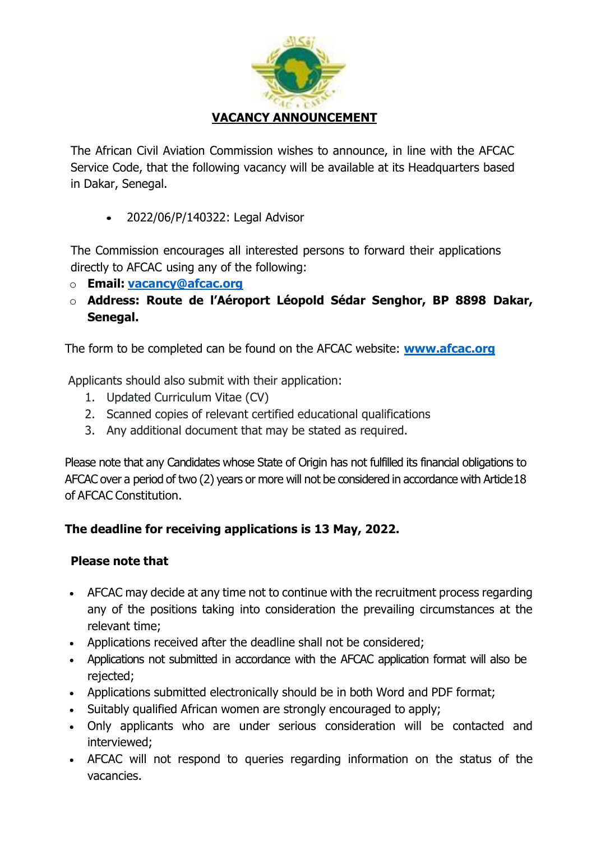

The African Civil Aviation Commission wishes to announce, in line with the AFCAC Service Code, that the following vacancy will be available at its Headquarters based in Dakar, Senegal.

• 2022/06/P/140322: Legal Advisor

The Commission encourages all interested persons to forward their applications directly to AFCAC using any of the following:

- o **Email: [vacancy@afcac.org](mailto:vacancy@afcac.org)**
- o **Address: Route de l'Aéroport Léopold Sédar Senghor, BP 8898 Dakar, Senegal.**

The form to be completed can be found on the AFCAC website: **[www.afcac.org](http://www.afcac.org/)**

Applicants should also submit with their application:

- 1. Updated Curriculum Vitae (CV)
- 2. Scanned copies of relevant certified educational qualifications
- 3. Any additional document that may be stated as required.

Please note that any Candidates whose State of Origin has not fulfilled its financial obligations to AFCAC over a period of two (2) years or more will not be considered in accordance with Article 18 of AFCAC Constitution.

# **The deadline for receiving applications is 13 May, 2022.**

# **Please note that**

- AFCAC may decide at any time not to continue with the recruitment process regarding any of the positions taking into consideration the prevailing circumstances at the relevant time;
- Applications received after the deadline shall not be considered;
- Applications not submitted in accordance with the AFCAC application format will also be rejected;
- Applications submitted electronically should be in both Word and PDF format;
- Suitably qualified African women are strongly encouraged to apply;
- Only applicants who are under serious consideration will be contacted and interviewed;
- AFCAC will not respond to queries regarding information on the status of the vacancies.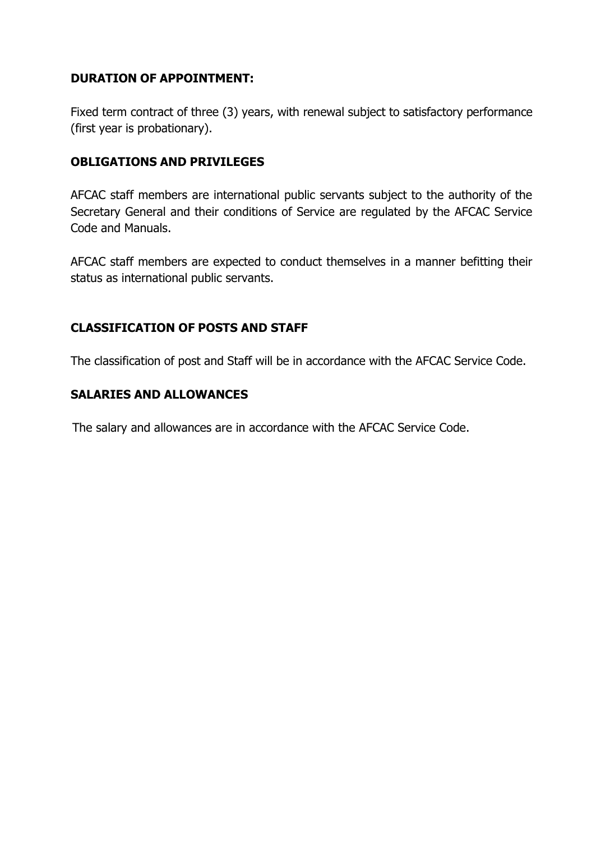### **DURATION OF APPOINTMENT:**

Fixed term contract of three (3) years, with renewal subject to satisfactory performance (first year is probationary).

### **OBLIGATIONS AND PRIVILEGES**

AFCAC staff members are international public servants subject to the authority of the Secretary General and their conditions of Service are regulated by the AFCAC Service Code and Manuals.

AFCAC staff members are expected to conduct themselves in a manner befitting their status as international public servants.

#### **CLASSIFICATION OF POSTS AND STAFF**

The classification of post and Staff will be in accordance with the AFCAC Service Code.

#### **SALARIES AND ALLOWANCES**

The salary and allowances are in accordance with the AFCAC Service Code.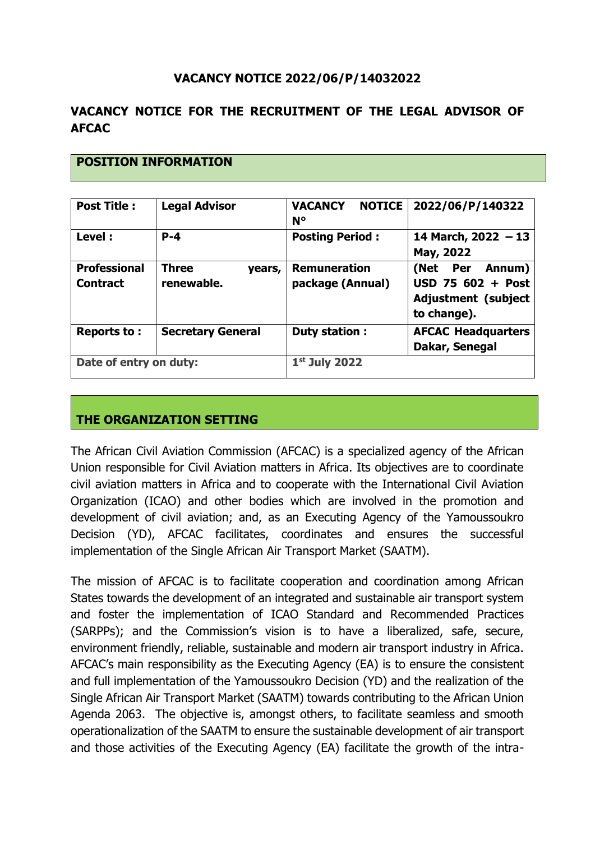### **VACANCY NOTICE 2022/06/P/14032022**

### **VACANCY NOTICE FOR THE RECRUITMENT OF THE LEGAL ADVISOR OF AFCAC**

| <b>Post Title:</b>                     | <b>Legal Advisor</b>                 | <b>VACANCY</b><br><b>NOTICE</b><br>$N^{\circ}$ | 2022/06/P/140322                                                                  |
|----------------------------------------|--------------------------------------|------------------------------------------------|-----------------------------------------------------------------------------------|
| Level:                                 | $P - 4$                              | <b>Posting Period:</b>                         | 14 March, 2022 - 13<br>May, 2022                                                  |
| <b>Professional</b><br><b>Contract</b> | <b>Three</b><br>years,<br>renewable. | <b>Remuneration</b><br>package (Annual)        | (Net Per Annum)<br>USD 75 602 + Post<br><b>Adjustment (subject</b><br>to change). |
| Reports to:                            | <b>Secretary General</b>             | Duty station :                                 | <b>AFCAC Headquarters</b><br>Dakar, Senegal                                       |
| Date of entry on duty:                 |                                      | $1st$ July 2022                                |                                                                                   |

## **THE ORGANIZATION SETTING**

**POSITION INFORMATION**

The African Civil Aviation Commission (AFCAC) is a specialized agency of the African Union responsible for Civil Aviation matters in Africa. Its objectives are to coordinate civil aviation matters in Africa and to cooperate with the International Civil Aviation Organization (ICAO) and other bodies which are involved in the promotion and development of civil aviation; and, as an Executing Agency of the Yamoussoukro Decision (YD), AFCAC facilitates, coordinates and ensures the successful implementation of the Single African Air Transport Market (SAATM).

The mission of AFCAC is to facilitate cooperation and coordination among African States towards the development of an integrated and sustainable air transport system and foster the implementation of ICAO Standard and Recommended Practices (SARPPs); and the Commission's vision is to have a liberalized, safe, secure, environment friendly, reliable, sustainable and modern air transport industry in Africa. AFCAC's main responsibility as the Executing Agency (EA) is to ensure the consistent and full implementation of the Yamoussoukro Decision (YD) and the realization of the Single African Air Transport Market (SAATM) towards contributing to the African Union Agenda 2063. The objective is, amongst others, to facilitate seamless and smooth operationalization of the SAATM to ensure the sustainable development of air transport and those activities of the Executing Agency (EA) facilitate the growth of the intra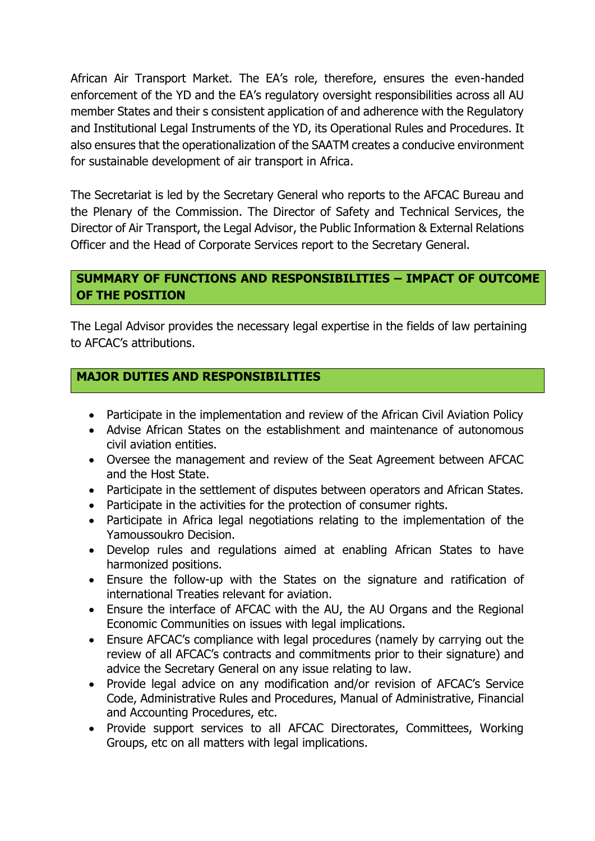African Air Transport Market. The EA's role, therefore, ensures the even-handed enforcement of the YD and the EA's regulatory oversight responsibilities across all AU member States and their s consistent application of and adherence with the Regulatory and Institutional Legal Instruments of the YD, its Operational Rules and Procedures. It also ensures that the operationalization of the SAATM creates a conducive environment for sustainable development of air transport in Africa.

The Secretariat is led by the Secretary General who reports to the AFCAC Bureau and the Plenary of the Commission. The Director of Safety and Technical Services, the Director of Air Transport, the Legal Advisor, the Public Information & External Relations Officer and the Head of Corporate Services report to the Secretary General.

### **SUMMARY OF FUNCTIONS AND RESPONSIBILITIES – IMPACT OF OUTCOME OF THE POSITION**

The Legal Advisor provides the necessary legal expertise in the fields of law pertaining to AFCAC's attributions.

#### **MAJOR DUTIES AND RESPONSIBILITIES**

- Participate in the implementation and review of the African Civil Aviation Policy
- Advise African States on the establishment and maintenance of autonomous civil aviation entities.
- Oversee the management and review of the Seat Agreement between AFCAC and the Host State.
- Participate in the settlement of disputes between operators and African States.
- Participate in the activities for the protection of consumer rights.
- Participate in Africa legal negotiations relating to the implementation of the Yamoussoukro Decision.
- Develop rules and regulations aimed at enabling African States to have harmonized positions.
- Ensure the follow-up with the States on the signature and ratification of international Treaties relevant for aviation.
- Ensure the interface of AFCAC with the AU, the AU Organs and the Regional Economic Communities on issues with legal implications.
- Ensure AFCAC's compliance with legal procedures (namely by carrying out the review of all AFCAC's contracts and commitments prior to their signature) and advice the Secretary General on any issue relating to law.
- Provide legal advice on any modification and/or revision of AFCAC's Service Code, Administrative Rules and Procedures, Manual of Administrative, Financial and Accounting Procedures, etc.
- Provide support services to all AFCAC Directorates, Committees, Working Groups, etc on all matters with legal implications.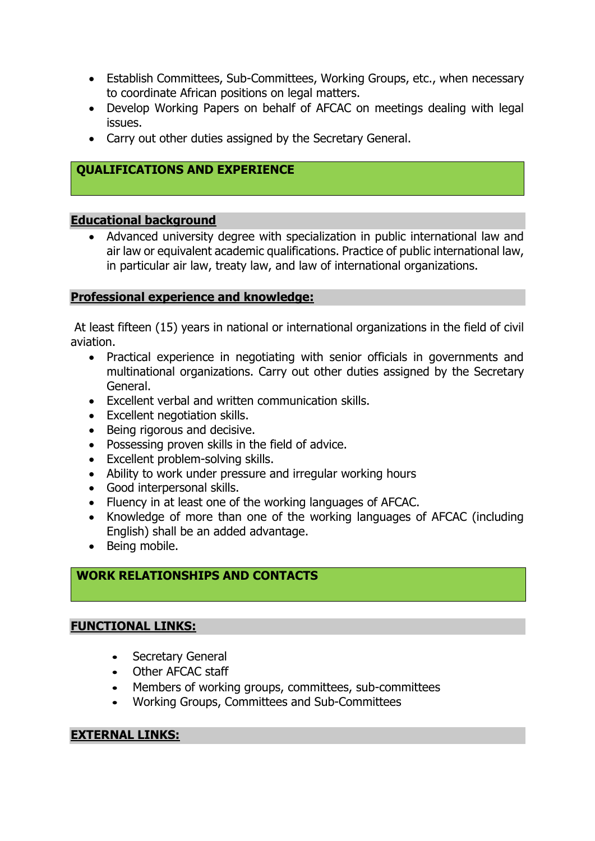- Establish Committees, Sub-Committees, Working Groups, etc., when necessary to coordinate African positions on legal matters.
- Develop Working Papers on behalf of AFCAC on meetings dealing with legal issues.
- Carry out other duties assigned by the Secretary General.

## **QUALIFICATIONS AND EXPERIENCE**

#### **Educational background**

• Advanced university degree with specialization in public international law and air law or equivalent academic qualifications. Practice of public international law, in particular air law, treaty law, and law of international organizations.

#### **Professional experience and knowledge:**

At least fifteen (15) years in national or international organizations in the field of civil aviation.

- Practical experience in negotiating with senior officials in governments and multinational organizations. Carry out other duties assigned by the Secretary General.
- Excellent verbal and written communication skills.
- Excellent negotiation skills.
- Being rigorous and decisive.
- Possessing proven skills in the field of advice.
- Excellent problem-solving skills.
- Ability to work under pressure and irregular working hours
- Good interpersonal skills.
- Fluency in at least one of the working languages of AFCAC.
- Knowledge of more than one of the working languages of AFCAC (including English) shall be an added advantage.
- Being mobile.

### **WORK RELATIONSHIPS AND CONTACTS**

### **FUNCTIONAL LINKS:**

- Secretary General
- Other AFCAC staff
- Members of working groups, committees, sub-committees
- Working Groups, Committees and Sub-Committees

#### **EXTERNAL LINKS:**